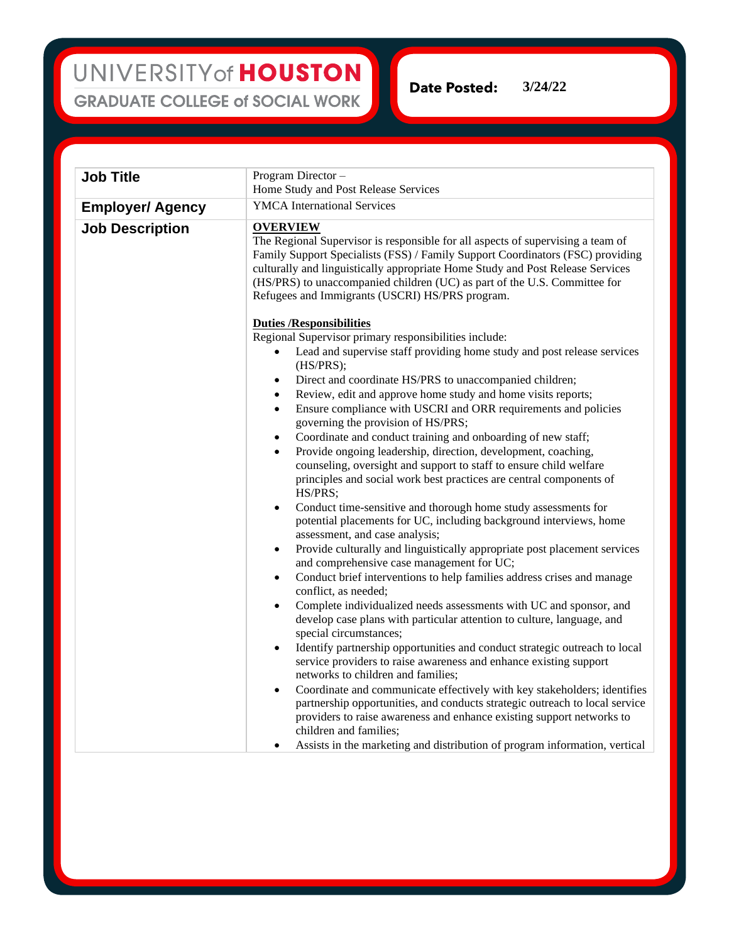UNIVERSITY of HOUSTON **GRADUATE COLLEGE of SOCIAL WORK** 

**Date Posted:** 

**3/24/22**

| <b>Job Title</b>        | Program Director-                                                                                                                                                                                                                                                                                                                                                                                      |
|-------------------------|--------------------------------------------------------------------------------------------------------------------------------------------------------------------------------------------------------------------------------------------------------------------------------------------------------------------------------------------------------------------------------------------------------|
|                         | Home Study and Post Release Services                                                                                                                                                                                                                                                                                                                                                                   |
| <b>Employer/ Agency</b> | <b>YMCA</b> International Services                                                                                                                                                                                                                                                                                                                                                                     |
| <b>Job Description</b>  | <b>OVERVIEW</b><br>The Regional Supervisor is responsible for all aspects of supervising a team of<br>Family Support Specialists (FSS) / Family Support Coordinators (FSC) providing<br>culturally and linguistically appropriate Home Study and Post Release Services<br>(HS/PRS) to unaccompanied children (UC) as part of the U.S. Committee for<br>Refugees and Immigrants (USCRI) HS/PRS program. |
|                         | <b>Duties /Responsibilities</b>                                                                                                                                                                                                                                                                                                                                                                        |
|                         | Regional Supervisor primary responsibilities include:                                                                                                                                                                                                                                                                                                                                                  |
|                         | Lead and supervise staff providing home study and post release services<br>(HS/PRS);                                                                                                                                                                                                                                                                                                                   |
|                         | Direct and coordinate HS/PRS to unaccompanied children;<br>$\bullet$                                                                                                                                                                                                                                                                                                                                   |
|                         | Review, edit and approve home study and home visits reports;<br>$\bullet$                                                                                                                                                                                                                                                                                                                              |
|                         | Ensure compliance with USCRI and ORR requirements and policies<br>$\bullet$<br>governing the provision of HS/PRS;                                                                                                                                                                                                                                                                                      |
|                         | Coordinate and conduct training and onboarding of new staff;<br>$\bullet$                                                                                                                                                                                                                                                                                                                              |
|                         | Provide ongoing leadership, direction, development, coaching,<br>$\bullet$<br>counseling, oversight and support to staff to ensure child welfare<br>principles and social work best practices are central components of<br>HS/PRS;                                                                                                                                                                     |
|                         | Conduct time-sensitive and thorough home study assessments for<br>$\bullet$<br>potential placements for UC, including background interviews, home<br>assessment, and case analysis;                                                                                                                                                                                                                    |
|                         | Provide culturally and linguistically appropriate post placement services<br>$\bullet$<br>and comprehensive case management for UC;                                                                                                                                                                                                                                                                    |
|                         | Conduct brief interventions to help families address crises and manage<br>$\bullet$<br>conflict, as needed;                                                                                                                                                                                                                                                                                            |
|                         | Complete individualized needs assessments with UC and sponsor, and<br>$\bullet$<br>develop case plans with particular attention to culture, language, and<br>special circumstances;                                                                                                                                                                                                                    |
|                         | Identify partnership opportunities and conduct strategic outreach to local<br>$\bullet$<br>service providers to raise awareness and enhance existing support<br>networks to children and families;                                                                                                                                                                                                     |
|                         | Coordinate and communicate effectively with key stakeholders; identifies<br>$\bullet$<br>partnership opportunities, and conducts strategic outreach to local service<br>providers to raise awareness and enhance existing support networks to<br>children and families;                                                                                                                                |
|                         | Assists in the marketing and distribution of program information, vertical<br>$\bullet$                                                                                                                                                                                                                                                                                                                |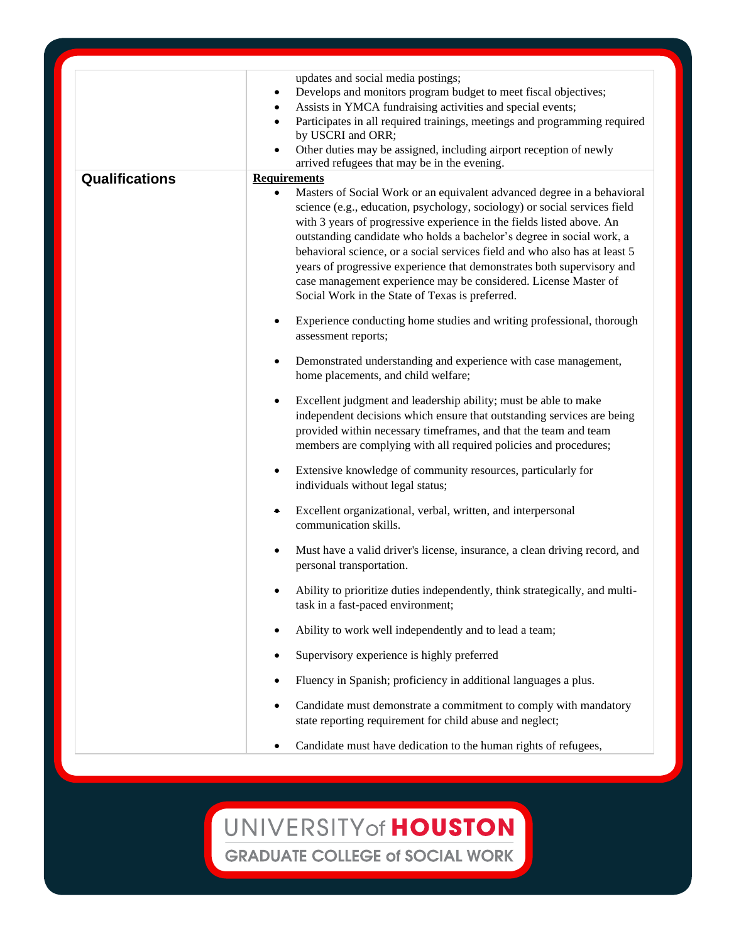|                       | updates and social media postings;<br>Develops and monitors program budget to meet fiscal objectives;<br>٠<br>Assists in YMCA fundraising activities and special events;<br>$\bullet$<br>Participates in all required trainings, meetings and programming required<br>$\bullet$<br>by USCRI and ORR;<br>Other duties may be assigned, including airport reception of newly<br>$\bullet$<br>arrived refugees that may be in the evening. |
|-----------------------|-----------------------------------------------------------------------------------------------------------------------------------------------------------------------------------------------------------------------------------------------------------------------------------------------------------------------------------------------------------------------------------------------------------------------------------------|
| <b>Qualifications</b> | <b>Requirements</b><br>Masters of Social Work or an equivalent advanced degree in a behavioral<br>science (e.g., education, psychology, sociology) or social services field<br>with 3 years of progressive experience in the fields listed above. An                                                                                                                                                                                    |
|                       | outstanding candidate who holds a bachelor's degree in social work, a<br>behavioral science, or a social services field and who also has at least 5<br>years of progressive experience that demonstrates both supervisory and<br>case management experience may be considered. License Master of<br>Social Work in the State of Texas is preferred.                                                                                     |
|                       | Experience conducting home studies and writing professional, thorough<br>assessment reports;                                                                                                                                                                                                                                                                                                                                            |
|                       | Demonstrated understanding and experience with case management,<br>٠<br>home placements, and child welfare;                                                                                                                                                                                                                                                                                                                             |
|                       | Excellent judgment and leadership ability; must be able to make<br>٠<br>independent decisions which ensure that outstanding services are being<br>provided within necessary timeframes, and that the team and team<br>members are complying with all required policies and procedures;                                                                                                                                                  |
|                       | Extensive knowledge of community resources, particularly for<br>٠<br>individuals without legal status;                                                                                                                                                                                                                                                                                                                                  |
|                       | Excellent organizational, verbal, written, and interpersonal<br>communication skills.                                                                                                                                                                                                                                                                                                                                                   |
|                       | Must have a valid driver's license, insurance, a clean driving record, and<br>personal transportation.                                                                                                                                                                                                                                                                                                                                  |
|                       | Ability to prioritize duties independently, think strategically, and multi-<br>task in a fast-paced environment;                                                                                                                                                                                                                                                                                                                        |
|                       | Ability to work well independently and to lead a team;                                                                                                                                                                                                                                                                                                                                                                                  |
|                       | Supervisory experience is highly preferred                                                                                                                                                                                                                                                                                                                                                                                              |
|                       | Fluency in Spanish; proficiency in additional languages a plus.                                                                                                                                                                                                                                                                                                                                                                         |
|                       | Candidate must demonstrate a commitment to comply with mandatory<br>state reporting requirement for child abuse and neglect;                                                                                                                                                                                                                                                                                                            |
|                       | Candidate must have dedication to the human rights of refugees,<br>٠                                                                                                                                                                                                                                                                                                                                                                    |

UNIVERSITY of HOUSTON **GRADUATE COLLEGE of SOCIAL WORK**